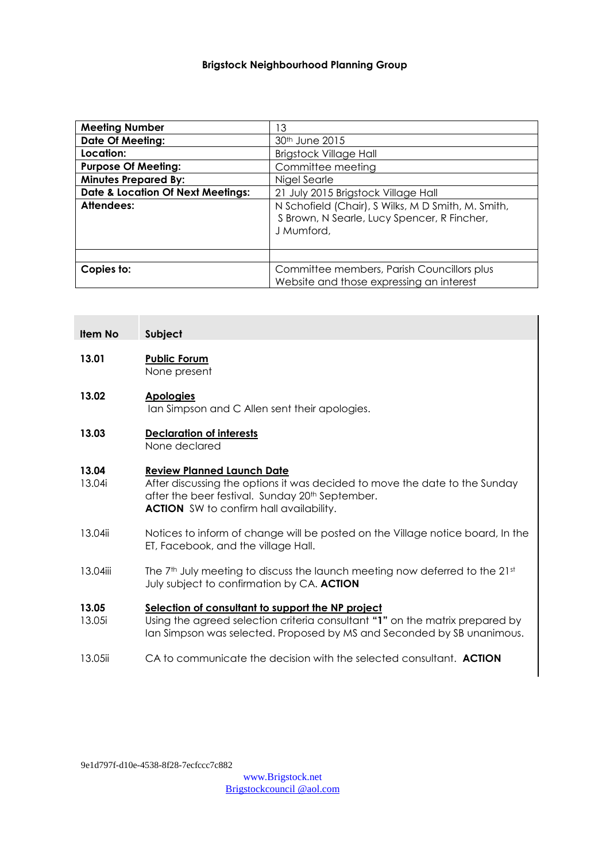### **Brigstock Neighbourhood Planning Group**

| <b>Meeting Number</b>                        | 13                                                                                                              |
|----------------------------------------------|-----------------------------------------------------------------------------------------------------------------|
| <b>Date Of Meeting:</b>                      | 30 <sup>th</sup> June 2015                                                                                      |
| Location:                                    | <b>Brigstock Village Hall</b>                                                                                   |
| <b>Purpose Of Meeting:</b>                   | Committee meeting                                                                                               |
| <b>Minutes Prepared By:</b>                  | Nigel Searle                                                                                                    |
| <b>Date &amp; Location Of Next Meetings:</b> | 21 July 2015 Brigstock Village Hall                                                                             |
| Attendees:                                   | N Schofield (Chair), S Wilks, M D Smith, M. Smith,<br>S Brown, N Searle, Lucy Spencer, R Fincher,<br>J Mumford. |
|                                              |                                                                                                                 |
| Copies to:                                   | Committee members, Parish Councillors plus<br>Website and those expressing an interest                          |

### **Item No Subject**

#### **13.01 Public Forum** None present

#### **13.02 Apologies**

Ian Simpson and C Allen sent their apologies.

**13.03 Declaration of interests** None declared

#### **13.04 Review Planned Launch Date**

- 13.04i After discussing the options it was decided to move the date to the Sunday after the beer festival. Sunday 20<sup>th</sup> September. **ACTION** SW to confirm hall availability.
- 13.04ii Notices to inform of change will be posted on the Village notice board, In the ET, Facebook, and the village Hall.
- 13.04iii The 7<sup>th</sup> July meeting to discuss the launch meeting now deferred to the  $21<sup>st</sup>$ July subject to confirmation by CA. **ACTION**

#### **13.05 Selection of consultant to support the NP project**

- 13.05i Using the agreed selection criteria consultant **"1"** on the matrix prepared by Ian Simpson was selected. Proposed by MS and Seconded by SB unanimous.
- 13.05ii CA to communicate the decision with the selected consultant. **ACTION**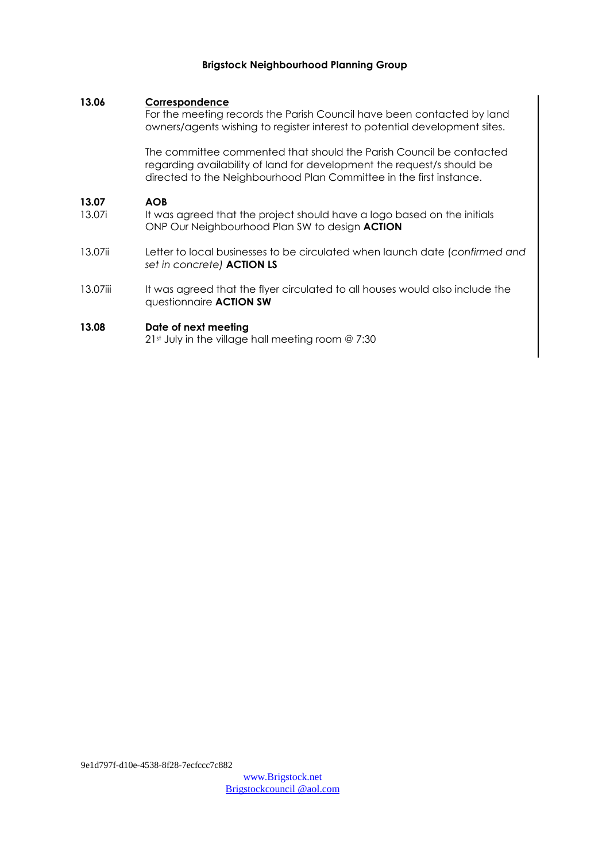### **Brigstock Neighbourhood Planning Group**

### **13.06 Correspondence**

For the meeting records the Parish Council have been contacted by land owners/agents wishing to register interest to potential development sites.

The committee commented that should the Parish Council be contacted regarding availability of land for development the request/s should be directed to the Neighbourhood Plan Committee in the first instance.

#### **13.07 AOB**

- 13.07i It was agreed that the project should have a logo based on the initials ONP Our Neighbourhood Plan SW to design **ACTION**
- 13.07ii Letter to local businesses to be circulated when launch date (*confirmed and set in concrete)* **ACTION LS**
- 13.07iii It was agreed that the flyer circulated to all houses would also include the questionnaire **ACTION SW**

#### **13.08 Date of next meeting**

21<sup>st</sup> July in the village hall meeting room @ 7:30

9e1d797f-d10e-4538-8f28-7ecfccc7c882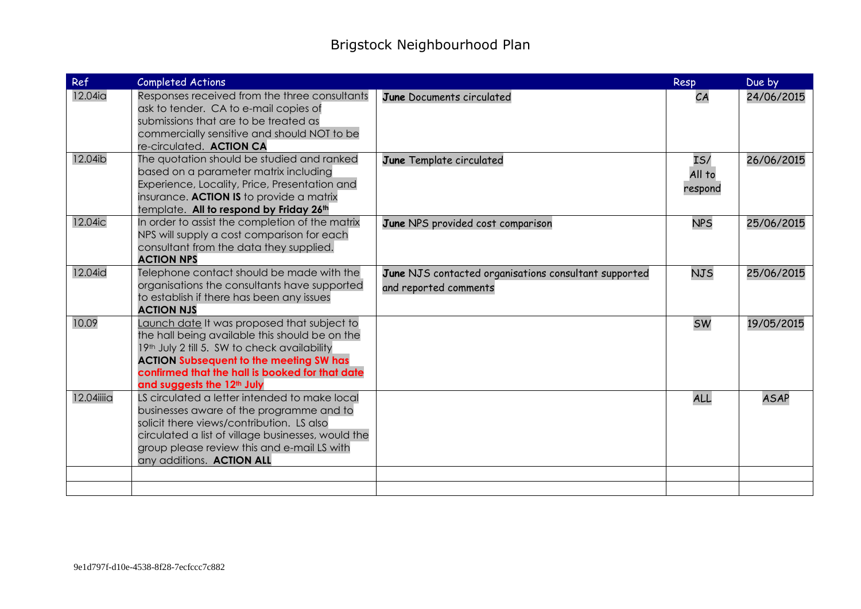| Ref        | <b>Completed Actions</b>                                                                                                                                                                                                                                                                     |                                                                                | Resp                     | Due by      |
|------------|----------------------------------------------------------------------------------------------------------------------------------------------------------------------------------------------------------------------------------------------------------------------------------------------|--------------------------------------------------------------------------------|--------------------------|-------------|
| 12.04ia    | Responses received from the three consultants<br>ask to tender. CA to e-mail copies of<br>submissions that are to be treated as<br>commercially sensitive and should NOT to be<br>re-circulated. ACTION CA                                                                                   | June Documents circulated                                                      | CA                       | 24/06/2015  |
| 12.04ib    | The quotation should be studied and ranked<br>based on a parameter matrix including<br>Experience, Locality, Price, Presentation and<br>insurance. ACTION IS to provide a matrix<br>template. All to respond by Friday 26th                                                                  | June Template circulated                                                       | IS/<br>All to<br>respond | 26/06/2015  |
| 12.04ic    | In order to assist the completion of the matrix<br>NPS will supply a cost comparison for each<br>consultant from the data they supplied.<br><b>ACTION NPS</b>                                                                                                                                | June NPS provided cost comparison                                              | <b>NPS</b>               | 25/06/2015  |
| 12.04id    | Telephone contact should be made with the<br>organisations the consultants have supported<br>to establish if there has been any issues<br><b>ACTION NJS</b>                                                                                                                                  | June NJS contacted organisations consultant supported<br>and reported comments | <b>NJS</b>               | 25/06/2015  |
| 10.09      | Launch date It was proposed that subject to<br>the hall being available this should be on the<br>19th July 2 till 5. SW to check availability<br><b>ACTION Subsequent to the meeting SW has</b><br>confirmed that the hall is booked for that date<br>and suggests the 12 <sup>th</sup> July |                                                                                | <b>SW</b>                | 19/05/2015  |
| 12.04iiiia | LS circulated a letter intended to make local<br>businesses aware of the programme and to<br>solicit there views/contribution. LS also<br>circulated a list of village businesses, would the<br>group please review this and e-mail LS with<br>any additions. ACTION ALL                     |                                                                                | <b>ALL</b>               | <b>ASAP</b> |
|            |                                                                                                                                                                                                                                                                                              |                                                                                |                          |             |
|            |                                                                                                                                                                                                                                                                                              |                                                                                |                          |             |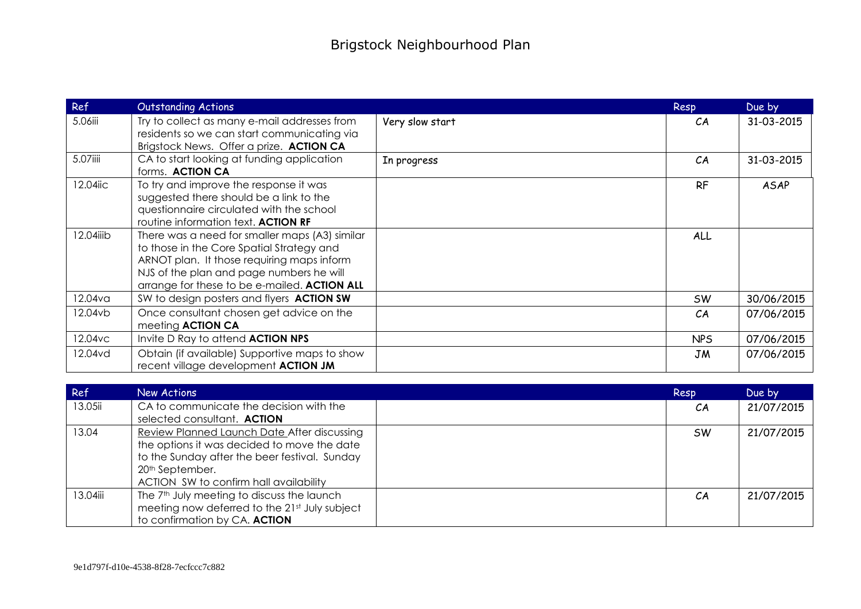| Ref        | <b>Outstanding Actions</b>                                                                  |                 | Resp       | Due by     |
|------------|---------------------------------------------------------------------------------------------|-----------------|------------|------------|
| 5.06iii    | Try to collect as many e-mail addresses from<br>residents so we can start communicating via | Very slow start | CA         | 31-03-2015 |
|            | Brigstock News. Offer a prize. ACTION CA                                                    |                 |            |            |
| 5.07iiii   | CA to start looking at funding application                                                  | In progress     | CA         | 31-03-2015 |
|            | forms. ACTION CA                                                                            |                 |            |            |
| 12.04iic   | To try and improve the response it was                                                      |                 | <b>RF</b>  | ASAP       |
|            | suggested there should be a link to the                                                     |                 |            |            |
|            | questionnaire circulated with the school                                                    |                 |            |            |
|            | routine information text. ACTION RF                                                         |                 |            |            |
| 12.04iiib  | There was a need for smaller maps (A3) similar                                              |                 | ALL        |            |
|            | to those in the Core Spatial Strategy and                                                   |                 |            |            |
|            | ARNOT plan. It those requiring maps inform                                                  |                 |            |            |
|            | NJS of the plan and page numbers he will                                                    |                 |            |            |
|            | arrange for these to be e-mailed. ACTION ALL                                                |                 |            |            |
| 12.04va    | SW to design posters and flyers <b>ACTION SW</b>                                            |                 | <b>SW</b>  | 30/06/2015 |
| 12.04vb    | Once consultant chosen get advice on the                                                    |                 | CА         | 07/06/2015 |
|            | meeting <b>ACTION CA</b>                                                                    |                 |            |            |
| $12.04$ vc | Invite D Ray to attend <b>ACTION NPS</b>                                                    |                 | <b>NPS</b> | 07/06/2015 |
| 12.04vd    | Obtain (if available) Supportive maps to show                                               |                 | JM         | 07/06/2015 |
|            | recent village development ACTION JM                                                        |                 |            |            |

| Ref      | New Actions                                            | Resp      | Due by     |
|----------|--------------------------------------------------------|-----------|------------|
| 13.05ii  | CA to communicate the decision with the                | CA        | 21/07/2015 |
|          | selected consultant. ACTION                            |           |            |
| 13.04    | Review Planned Launch Date After discussing            | <b>SW</b> | 21/07/2015 |
|          | the options it was decided to move the date            |           |            |
|          | to the Sunday after the beer festival. Sunday          |           |            |
|          | 20 <sup>th</sup> September.                            |           |            |
|          | ACTION SW to confirm hall availability                 |           |            |
| 13.04iii | The 7 <sup>th</sup> July meeting to discuss the launch | CA        | 21/07/2015 |
|          | meeting now deferred to the 21st July subject          |           |            |
|          | to confirmation by CA. ACTION                          |           |            |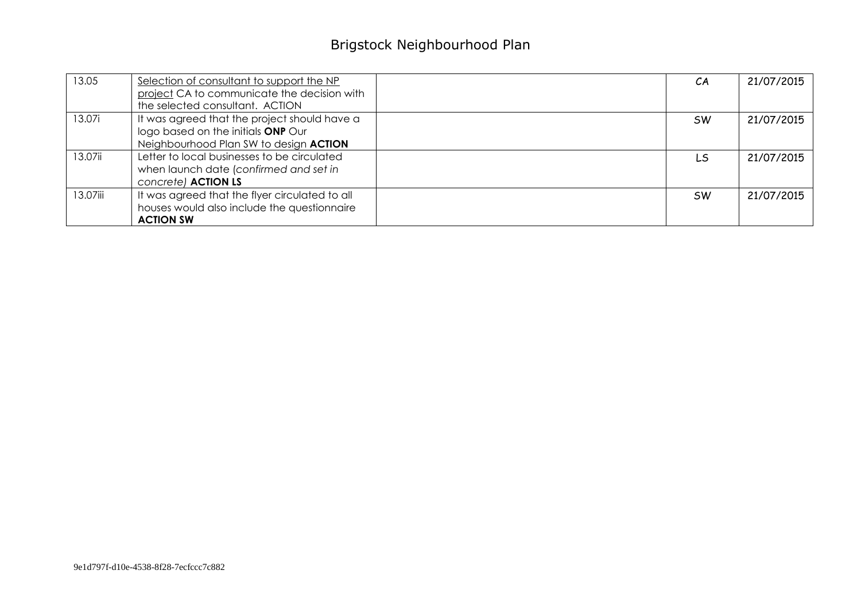# Brigstock Neighbourhood Plan

| 13.05    | Selection of consultant to support the NP<br>project CA to communicate the decision with | CA        | 21/07/2015 |
|----------|------------------------------------------------------------------------------------------|-----------|------------|
|          | the selected consultant. ACTION                                                          |           |            |
| 13.07i   | It was agreed that the project should have a                                             | sw        | 21/07/2015 |
|          | logo based on the initials ONP Our<br>Neighbourhood Plan SW to design ACTION             |           |            |
| 13.07ii  | Letter to local businesses to be circulated                                              | LS        | 21/07/2015 |
|          | when launch date (confirmed and set in                                                   |           |            |
|          | concrete) <b>ACTION LS</b>                                                               |           |            |
| 13.07iii | It was agreed that the flyer circulated to all                                           | <b>SW</b> | 21/07/2015 |
|          | houses would also include the questionnaire                                              |           |            |
|          | <b>ACTION SW</b>                                                                         |           |            |